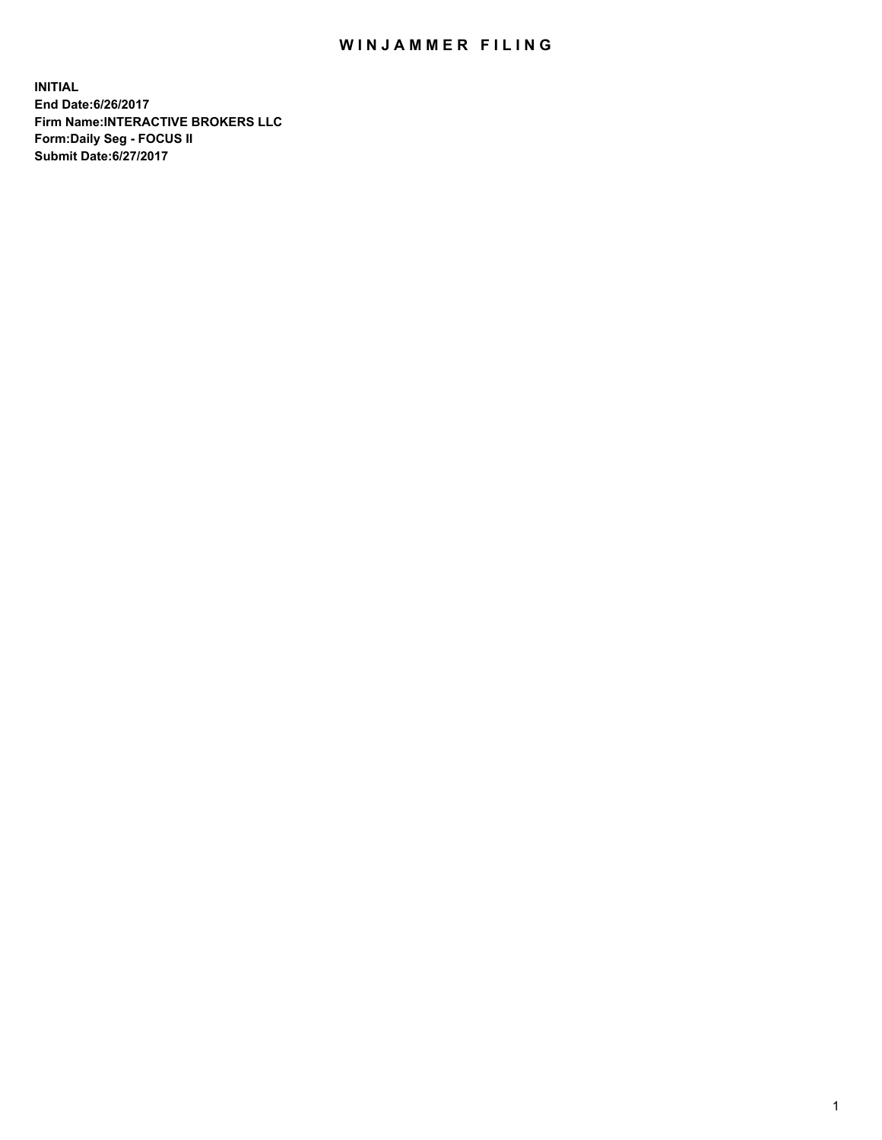## WIN JAMMER FILING

**INITIAL End Date:6/26/2017 Firm Name:INTERACTIVE BROKERS LLC Form:Daily Seg - FOCUS II Submit Date:6/27/2017**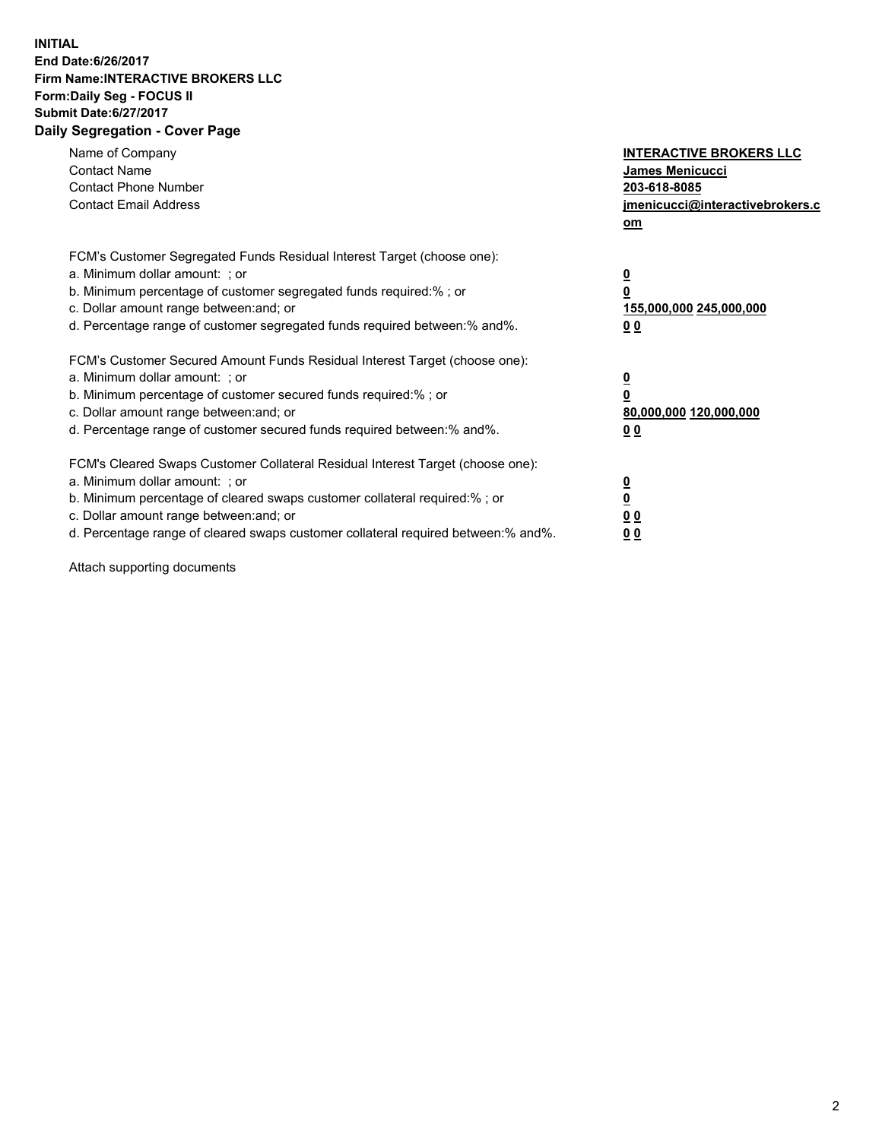## **INITIAL End Date:6/26/2017 Firm Name:INTERACTIVE BROKERS LLC Form:Daily Seg - FOCUS II Submit Date:6/27/2017 Daily Segregation - Cover Page**

| Name of Company<br><b>Contact Name</b><br><b>Contact Phone Number</b><br><b>Contact Email Address</b>                                                                                                                                                                                                                          | <b>INTERACTIVE BROKERS LLC</b><br><b>James Menicucci</b><br>203-618-8085<br>jmenicucci@interactivebrokers.c<br>om |
|--------------------------------------------------------------------------------------------------------------------------------------------------------------------------------------------------------------------------------------------------------------------------------------------------------------------------------|-------------------------------------------------------------------------------------------------------------------|
| FCM's Customer Segregated Funds Residual Interest Target (choose one):<br>a. Minimum dollar amount: ; or<br>b. Minimum percentage of customer segregated funds required:%; or<br>c. Dollar amount range between: and; or<br>d. Percentage range of customer segregated funds required between:% and%.                          | $\overline{\mathbf{0}}$<br>0<br>155,000,000 245,000,000<br>0 <sub>0</sub>                                         |
| FCM's Customer Secured Amount Funds Residual Interest Target (choose one):<br>a. Minimum dollar amount: ; or<br>b. Minimum percentage of customer secured funds required:%; or<br>c. Dollar amount range between: and; or<br>d. Percentage range of customer secured funds required between: % and %.                          | $\overline{\mathbf{0}}$<br>0<br>80,000,000 120,000,000<br>00                                                      |
| FCM's Cleared Swaps Customer Collateral Residual Interest Target (choose one):<br>a. Minimum dollar amount: ; or<br>b. Minimum percentage of cleared swaps customer collateral required:% ; or<br>c. Dollar amount range between: and; or<br>d. Percentage range of cleared swaps customer collateral required between:% and%. | $\overline{\mathbf{0}}$<br>$\overline{\mathbf{0}}$<br>0 <sub>0</sub><br><u>00</u>                                 |

Attach supporting documents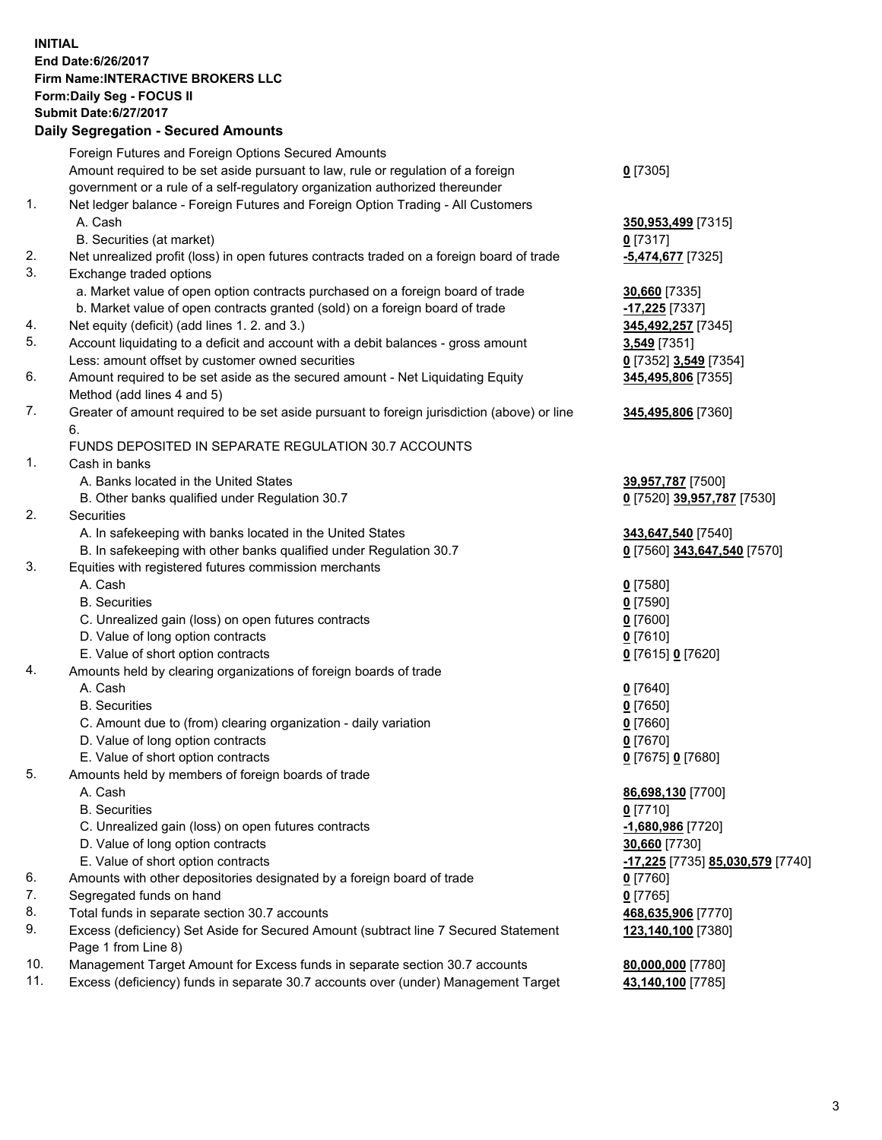## **INITIAL End Date:6/26/2017 Firm Name:INTERACTIVE BROKERS LLC Form:Daily Seg - FOCUS II Submit Date:6/27/2017**

|     | <b>Daily Segregation - Secured Amounts</b>                                                  |                                                      |
|-----|---------------------------------------------------------------------------------------------|------------------------------------------------------|
|     | Foreign Futures and Foreign Options Secured Amounts                                         |                                                      |
|     | Amount required to be set aside pursuant to law, rule or regulation of a foreign            | $0$ [7305]                                           |
|     | government or a rule of a self-regulatory organization authorized thereunder                |                                                      |
| 1.  | Net ledger balance - Foreign Futures and Foreign Option Trading - All Customers             |                                                      |
|     | A. Cash                                                                                     | 350,953,499 [7315]                                   |
|     | B. Securities (at market)                                                                   | $0$ [7317]                                           |
| 2.  | Net unrealized profit (loss) in open futures contracts traded on a foreign board of trade   | -5,474,677 [7325]                                    |
| 3.  | Exchange traded options                                                                     |                                                      |
|     | a. Market value of open option contracts purchased on a foreign board of trade              | 30,660 [7335]                                        |
|     | b. Market value of open contracts granted (sold) on a foreign board of trade                | -17,225 [7337]                                       |
| 4.  | Net equity (deficit) (add lines 1. 2. and 3.)                                               | 345,492,257 [7345]                                   |
| 5.  | Account liquidating to a deficit and account with a debit balances - gross amount           | 3,549 [7351]                                         |
|     | Less: amount offset by customer owned securities                                            | 0 [7352] 3,549 [7354]                                |
| 6.  | Amount required to be set aside as the secured amount - Net Liquidating Equity              | 345,495,806 [7355]                                   |
|     | Method (add lines 4 and 5)                                                                  |                                                      |
| 7.  | Greater of amount required to be set aside pursuant to foreign jurisdiction (above) or line | 345,495,806 [7360]                                   |
|     | 6.                                                                                          |                                                      |
|     | FUNDS DEPOSITED IN SEPARATE REGULATION 30.7 ACCOUNTS                                        |                                                      |
| 1.  | Cash in banks                                                                               |                                                      |
|     | A. Banks located in the United States                                                       | 39,957,787 [7500]                                    |
|     | B. Other banks qualified under Regulation 30.7                                              | 0 [7520] 39,957,787 [7530]                           |
| 2.  | Securities                                                                                  |                                                      |
|     | A. In safekeeping with banks located in the United States                                   | 343,647,540 [7540]                                   |
|     | B. In safekeeping with other banks qualified under Regulation 30.7                          | 0 [7560] 343,647,540 [7570]                          |
| 3.  | Equities with registered futures commission merchants                                       |                                                      |
|     | A. Cash                                                                                     | $0$ [7580]                                           |
|     | <b>B.</b> Securities                                                                        | $0$ [7590]                                           |
|     | C. Unrealized gain (loss) on open futures contracts                                         | $0$ [7600]                                           |
|     | D. Value of long option contracts                                                           | $0$ [7610]                                           |
|     | E. Value of short option contracts                                                          | 0 [7615] 0 [7620]                                    |
| 4.  | Amounts held by clearing organizations of foreign boards of trade                           |                                                      |
|     | A. Cash<br><b>B.</b> Securities                                                             | $0$ [7640]                                           |
|     |                                                                                             | $0$ [7650]                                           |
|     | C. Amount due to (from) clearing organization - daily variation                             | $0$ [7660]                                           |
|     | D. Value of long option contracts<br>E. Value of short option contracts                     | $0$ [7670]                                           |
| 5.  | Amounts held by members of foreign boards of trade                                          | 0 [7675] 0 [7680]                                    |
|     | A. Cash                                                                                     |                                                      |
|     | <b>B.</b> Securities                                                                        | 86,698,130 [7700]<br>$0$ [7710]                      |
|     | C. Unrealized gain (loss) on open futures contracts                                         | -1,680,986 [7720]                                    |
|     | D. Value of long option contracts                                                           | 30,660 [7730]                                        |
|     | E. Value of short option contracts                                                          | <mark>-17,225</mark> [7735] <b>85,030,579</b> [7740] |
| 6.  | Amounts with other depositories designated by a foreign board of trade                      | $0$ [7760]                                           |
| 7.  | Segregated funds on hand                                                                    | $0$ [7765]                                           |
| 8.  | Total funds in separate section 30.7 accounts                                               | 468,635,906 [7770]                                   |
| 9.  | Excess (deficiency) Set Aside for Secured Amount (subtract line 7 Secured Statement         | 123,140,100 [7380]                                   |
|     | Page 1 from Line 8)                                                                         |                                                      |
| 10. | Management Target Amount for Excess funds in separate section 30.7 accounts                 | 80,000,000 [7780]                                    |
| 11. | Excess (deficiency) funds in separate 30.7 accounts over (under) Management Target          | 43,140,100 [7785]                                    |
|     |                                                                                             |                                                      |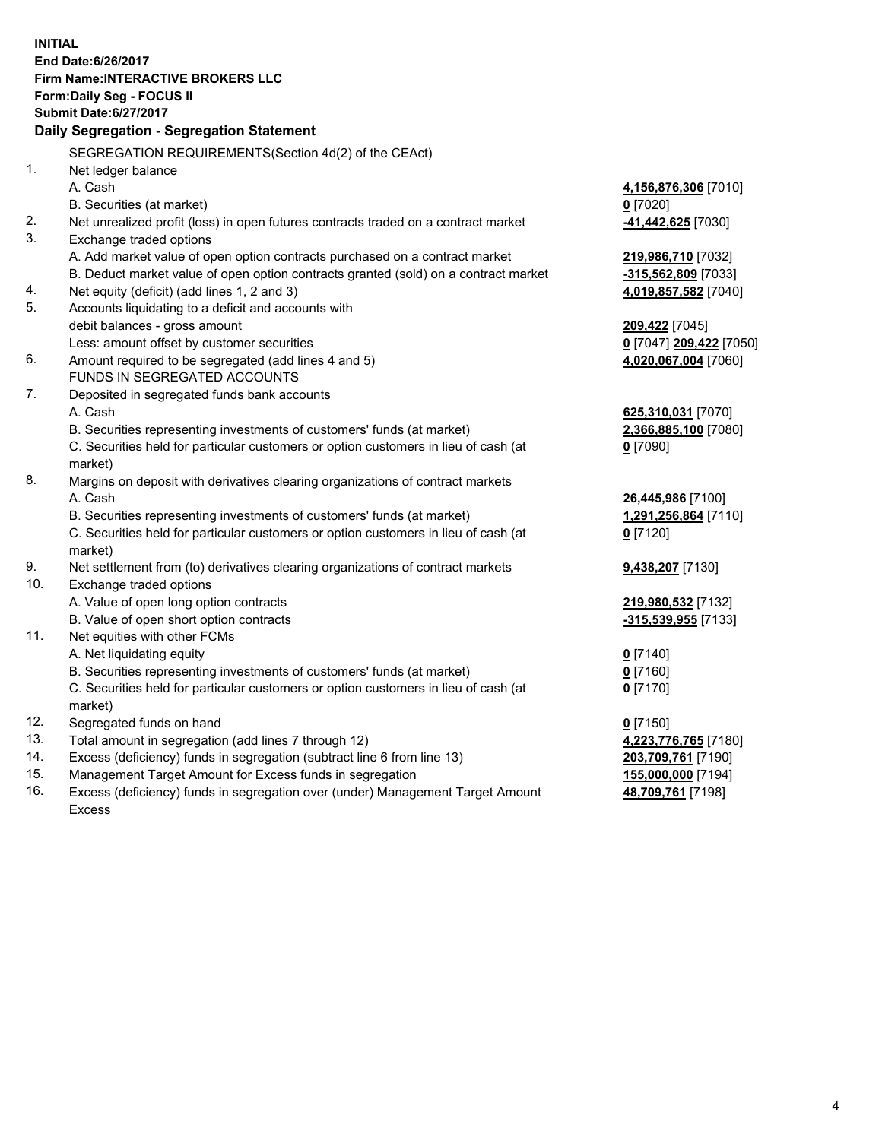**INITIAL End Date:6/26/2017 Firm Name:INTERACTIVE BROKERS LLC Form:Daily Seg - FOCUS II Submit Date:6/27/2017 Daily Segregation - Segregation Statement** SEGREGATION REQUIREMENTS(Section 4d(2) of the CEAct) 1. Net ledger balance A. Cash **4,156,876,306** [7010] B. Securities (at market) **0** [7020] 2. Net unrealized profit (loss) in open futures contracts traded on a contract market **-41,442,625** [7030] 3. Exchange traded options A. Add market value of open option contracts purchased on a contract market **219,986,710** [7032] B. Deduct market value of open option contracts granted (sold) on a contract market **-315,562,809** [7033] 4. Net equity (deficit) (add lines 1, 2 and 3) **4,019,857,582** [7040] 5. Accounts liquidating to a deficit and accounts with debit balances - gross amount **209,422** [7045] Less: amount offset by customer securities **0** [7047] **209,422** [7050] 6. Amount required to be segregated (add lines 4 and 5) **4,020,067,004** [7060] FUNDS IN SEGREGATED ACCOUNTS 7. Deposited in segregated funds bank accounts A. Cash **625,310,031** [7070] B. Securities representing investments of customers' funds (at market) **2,366,885,100** [7080] C. Securities held for particular customers or option customers in lieu of cash (at market) **0** [7090] 8. Margins on deposit with derivatives clearing organizations of contract markets A. Cash **26,445,986** [7100] B. Securities representing investments of customers' funds (at market) **1,291,256,864** [7110] C. Securities held for particular customers or option customers in lieu of cash (at market) **0** [7120] 9. Net settlement from (to) derivatives clearing organizations of contract markets **9,438,207** [7130] 10. Exchange traded options A. Value of open long option contracts **219,980,532** [7132] B. Value of open short option contracts **-315,539,955** [7133] 11. Net equities with other FCMs A. Net liquidating equity **0** [7140] B. Securities representing investments of customers' funds (at market) **0** [7160] C. Securities held for particular customers or option customers in lieu of cash (at market) **0** [7170] 12. Segregated funds on hand **0** [7150] 13. Total amount in segregation (add lines 7 through 12) **4,223,776,765** [7180] 14. Excess (deficiency) funds in segregation (subtract line 6 from line 13) **203,709,761** [7190] 15. Management Target Amount for Excess funds in segregation **155,000,000** [7194]

16. Excess (deficiency) funds in segregation over (under) Management Target Amount Excess

**48,709,761** [7198]